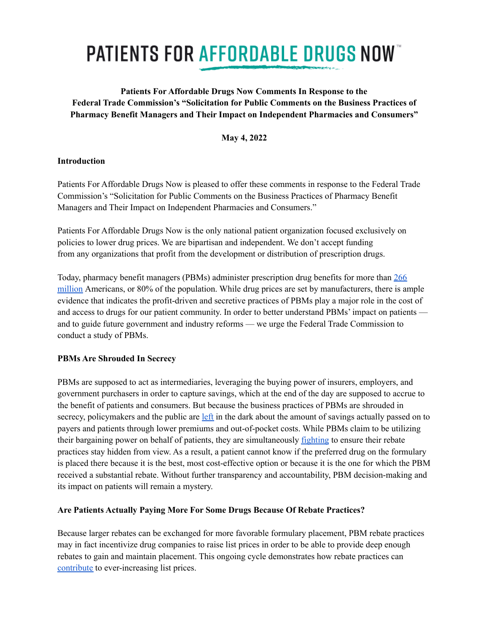# **PATIENTS FOR AFFORDABLE DRUGS NOW**

## **Patients For Affordable Drugs Now Comments In Response to the Federal Trade Commission's "Solicitation for Public Comments on the Business Practices of Pharmacy Benefit Managers and Their Impact on Independent Pharmacies and Consumers"**

**May 4, 2022**

## **Introduction**

Patients For Affordable Drugs Now is pleased to offer these comments in response to the Federal Trade Commission's "Solicitation for Public Comments on the Business Practices of Pharmacy Benefit Managers and Their Impact on Independent Pharmacies and Consumers."

Patients For Affordable Drugs Now is the only national patient organization focused exclusively on policies to lower drug prices. We are bipartisan and independent. We don't accept funding from any organizations that profit from the development or distribution of prescription drugs.

Today, pharmacy benefit managers (PBMs) administer prescription drug benefits for more than [266](https://www.healthaffairs.org/do/10.1377/hpb20171409.000178/) [million](https://www.healthaffairs.org/do/10.1377/hpb20171409.000178/) Americans, or 80% of the population. While drug prices are set by manufacturers, there is ample evidence that indicates the profit-driven and secretive practices of PBMs play a major role in the cost of and access to drugs for our patient community. In order to better understand PBMs' impact on patients and to guide future government and industry reforms — we urge the Federal Trade Commission to conduct a study of PBMs.

## **PBMs Are Shrouded In Secrecy**

PBMs are supposed to act as intermediaries, leveraging the buying power of insurers, employers, and government purchasers in order to capture savings, which at the end of the day are supposed to accrue to the benefit of patients and consumers. But because the business practices of PBMs are shrouded in secrecy, policymakers and the public are [left](https://www.healthaffairs.org/do/10.1377/hpb20171409.000178/full/) in the dark about the amount of savings actually passed on to payers and patients through lower premiums and out-of-pocket costs. While PBMs claim to be utilizing their bargaining power on behalf of patients, they are simultaneously [fighting](https://www.reuters.com/legal/litigation/pbms-sue-us-keep-prescription-drug-prices-hidden-public-2021-08-12/) to ensure their rebate practices stay hidden from view. As a result, a patient cannot know if the preferred drug on the formulary is placed there because it is the best, most cost-effective option or because it is the one for which the PBM received a substantial rebate. Without further transparency and accountability, PBM decision-making and its impact on patients will remain a mystery.

## **Are Patients Actually Paying More For Some Drugs Because Of Rebate Practices?**

Because larger rebates can be exchanged for more favorable formulary placement, PBM rebate practices may in fact incentivize drug companies to raise list prices in order to be able to provide deep enough rebates to gain and maintain placement. This ongoing cycle demonstrates how rebate practices can [contribute](https://healthpolicy.usc.edu/article/new-evidence-shows-prescription-drug-rebates-play-a-role-in-increasing-list-prices/) to ever-increasing list prices.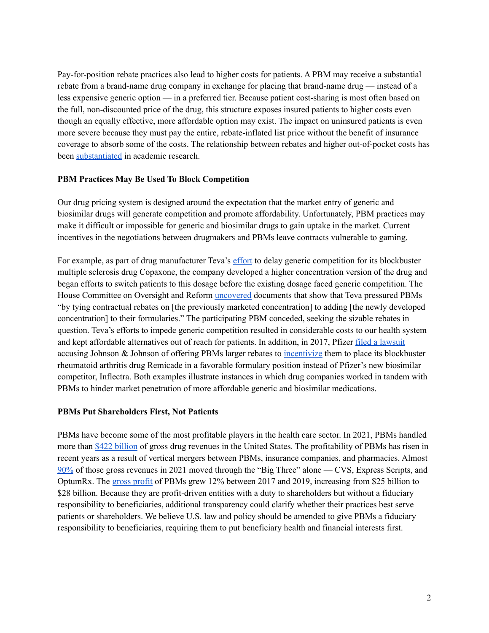Pay-for-position rebate practices also lead to higher costs for patients. A PBM may receive a substantial rebate from a brand-name drug company in exchange for placing that brand-name drug — instead of a less expensive generic option — in a preferred tier. Because patient cost-sharing is most often based on the full, non-discounted price of the drug, this structure exposes insured patients to higher costs even though an equally effective, more affordable option may exist. The impact on uninsured patients is even more severe because they must pay the entire, rebate-inflated list price without the benefit of insurance coverage to absorb some of the costs. The relationship between rebates and higher out-of-pocket costs has been [substantiated](https://jamanetwork.com/journals/jamanetworkopen/fullarticle/2780950) in academic research.

#### **PBM Practices May Be Used To Block Competition**

Our drug pricing system is designed around the expectation that the market entry of generic and biosimilar drugs will generate competition and promote affordability. Unfortunately, PBM practices may make it difficult or impossible for generic and biosimilar drugs to gain uptake in the market. Current incentives in the negotiations between drugmakers and PBMs leave contracts vulnerable to gaming.

For example, as part of drug manufacturer Teva's [effort](https://oversight.house.gov/sites/democrats.oversight.house.gov/files/DRUG%20PRICING%20REPORT%20WITH%20APPENDIX%20v3.pdf) to delay generic competition for its blockbuster multiple sclerosis drug Copaxone, the company developed a higher concentration version of the drug and began efforts to switch patients to this dosage before the existing dosage faced generic competition. The House Committee on Oversight and Reform [uncovered](https://oversight.house.gov/sites/democrats.oversight.house.gov/files/DRUG%20PRICING%20REPORT%20WITH%20APPENDIX%20v3.pdf) documents that show that Teva pressured PBMs "by tying contractual rebates on [the previously marketed concentration] to adding [the newly developed concentration] to their formularies." The participating PBM conceded, seeking the sizable rebates in question. Teva's efforts to impede generic competition resulted in considerable costs to our health system and kept affordable alternatives out of reach for patients. In addition, in 2017, Pfizer filed a [lawsuit](https://www.raps.org/regulatory-focus%E2%84%A2/news-articles/2017/9/pfizer-sues-j-j-over-contracts-blocking-remicade-biosimilars) accusing Johnson & Johnson of offering PBMs larger rebates to [incentivize](https://www.statnews.com/2021/01/19/ftc-biden-antitrust-rebates-mergers/) them to place its blockbuster rheumatoid arthritis drug Remicade in a favorable formulary position instead of Pfizer's new biosimilar competitor, Inflectra. Both examples illustrate instances in which drug companies worked in tandem with PBMs to hinder market penetration of more affordable generic and biosimilar medications.

#### **PBMs Put Shareholders First, Not Patients**

PBMs have become some of the most profitable players in the health care sector. In 2021, PBMs handled more than \$422 [billion](https://www.statnews.com/2022/03/22/pharmacy-benefit-managers-revenue-contracts/) of gross drug revenues in the United States. The profitability of PBMs has risen in recent years as a result of vertical mergers between PBMs, insurance companies, and pharmacies. Almost [90%](https://www.statnews.com/2022/03/22/pharmacy-benefit-managers-revenue-contracts/) of those gross revenues in 2021 moved through the "Big Three" alone — CVS, Express Scripts, and OptumRx. The gross [profit](https://www.modernhealthcare.com/supply-chain/pbms-profit-swells-sector-consolidates-report-shows?adobe_mc=MCMID%3D10021893709279058923077270792425270302%7CMCORGID%3D138FFF2554E6E7220A4C98C6%2540AdobeOrg%7CTS%3D1649856281&CSAuthResp=1%3A%3A1011632%3A7461%3A24%3Asuccess%3AF1AE116B9E5CA453243ABB636E36C095) of PBMs grew 12% between 2017 and 2019, increasing from \$25 billion to \$28 billion. Because they are profit-driven entities with a duty to shareholders but without a fiduciary responsibility to beneficiaries, additional transparency could clarify whether their practices best serve patients or shareholders. We believe U.S. law and policy should be amended to give PBMs a fiduciary responsibility to beneficiaries, requiring them to put beneficiary health and financial interests first.